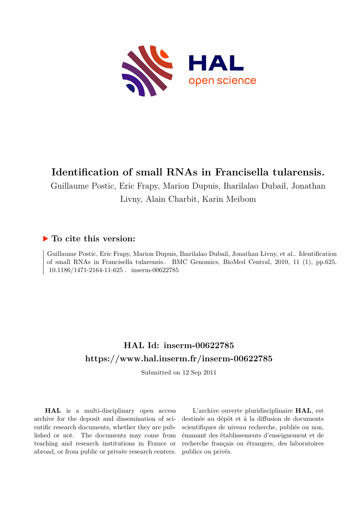

# **Identification of small RNAs in Francisella tularensis.**

Guillaume Postic, Eric Frapy, Marion Dupuis, Iharilalao Dubail, Jonathan Livny, Alain Charbit, Karin Meibom

## **To cite this version:**

Guillaume Postic, Eric Frapy, Marion Dupuis, Iharilalao Dubail, Jonathan Livny, et al.. Identification of small RNAs in Francisella tularensis.. BMC Genomics, BioMed Central, 2010, 11 (1), pp.625.  $10.1186/1471-2164-11-625$ . inserm-00622785

# **HAL Id: inserm-00622785 <https://www.hal.inserm.fr/inserm-00622785>**

Submitted on 12 Sep 2011

**HAL** is a multi-disciplinary open access archive for the deposit and dissemination of scientific research documents, whether they are published or not. The documents may come from teaching and research institutions in France or abroad, or from public or private research centers.

L'archive ouverte pluridisciplinaire **HAL**, est destinée au dépôt et à la diffusion de documents scientifiques de niveau recherche, publiés ou non, émanant des établissements d'enseignement et de recherche français ou étrangers, des laboratoires publics ou privés.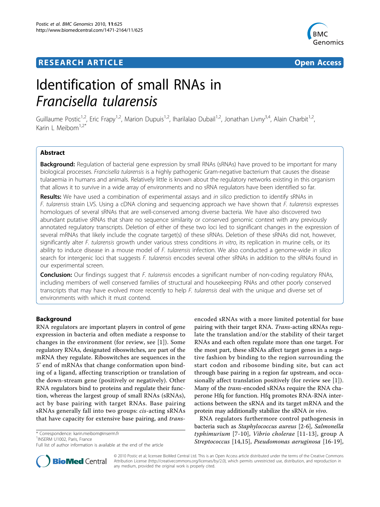## **RESEARCH ARTICLE Example 2014 CONSUMING ACCESS**



# Identification of small RNAs in Francisella tularensis

Guillaume Postic<sup>1,2</sup>, Eric Frapy<sup>1,2</sup>, Marion Dupuis<sup>1,2</sup>, Iharilalao Dubail<sup>1,2</sup>, Jonathan Livny<sup>3,4</sup>, Alain Charbit<sup>1,2</sup>, , Karin L Meibom $1,2$ 

#### Abstract

**Background:** Regulation of bacterial gene expression by small RNAs (sRNAs) have proved to be important for many biological processes. Francisella tularensis is a highly pathogenic Gram-negative bacterium that causes the disease tularaemia in humans and animals. Relatively little is known about the regulatory networks existing in this organism that allows it to survive in a wide array of environments and no sRNA regulators have been identified so far.

Results: We have used a combination of experimental assays and in silico prediction to identify sRNAs in F. tularensis strain LVS. Using a cDNA cloning and sequencing approach we have shown that F. tularensis expresses homologues of several sRNAs that are well-conserved among diverse bacteria. We have also discovered two abundant putative sRNAs that share no sequence similarity or conserved genomic context with any previously annotated regulatory transcripts. Deletion of either of these two loci led to significant changes in the expression of several mRNAs that likely include the cognate target(s) of these sRNAs. Deletion of these sRNAs did not, however, significantly alter F. tularensis growth under various stress conditions in vitro, its replication in murine cells, or its ability to induce disease in a mouse model of F. tularensis infection. We also conducted a genome-wide in silico search for intergenic loci that suggests F. tularensis encodes several other sRNAs in addition to the sRNAs found in our experimental screen.

**Conclusion:** Our findings suggest that F. tularensis encodes a significant number of non-coding regulatory RNAs, including members of well conserved families of structural and housekeeping RNAs and other poorly conserved transcripts that may have evolved more recently to help F. tularensis deal with the unique and diverse set of environments with which it must contend.

#### Background

RNA regulators are important players in control of gene expression in bacteria and often mediate a response to changes in the environment (for review, see [[1](#page-11-0)]). Some regulatory RNAs, designated riboswitches, are part of the mRNA they regulate. Riboswitches are sequences in the 5' end of mRNAs that change conformation upon binding of a ligand, affecting transcription or translation of the down-stream gene (positively or negatively). Other RNA regulators bind to proteins and regulate their function, whereas the largest group of small RNAs (sRNAs), act by base pairing with target RNAs. Base pairing sRNAs generally fall into two groups: cis-acting sRNAs that have capacity for extensive base pairing, and *trans-*

\* Correspondence: [karin.meibom@inserm.fr](mailto:karin.meibom@inserm.fr)

1 INSERM U1002, Paris, France

encoded sRNAs with a more limited potential for base pairing with their target RNA. Trans-acting sRNAs regulate the translation and/or the stability of their target RNAs and each often regulate more than one target. For the most part, these sRNAs affect target genes in a negative fashion by binding to the region surrounding the start codon and ribosome binding site, but can act through base pairing in a region far upstream, and occasionally affect translation positively (for review see [[1\]](#page-11-0)). Many of the *trans-*encoded sRNAs require the RNA chaperone Hfq for function. Hfq promotes RNA-RNA interactions between the sRNA and its target mRNA and the protein may additionally stabilize the sRNA in vivo.

RNA regulators furthermore control pathogenesis in bacteria such as Staphylococcus aureus [\[2](#page-11-0)-[6\]](#page-11-0), Salmonella typhimurium [[7](#page-11-0)-[10](#page-11-0)], Vibrio cholerae [[11-13\]](#page-11-0), group A Streptococcus [[14,15](#page-11-0)], Pseudomonas aeruginosa [\[16-19](#page-11-0)],



© 2010 Postic et al; licensee BioMed Central Ltd. This is an Open Access article distributed under the terms of the Creative Commons Attribution License [\(http://creativecommons.org/licenses/by/2.0](http://creativecommons.org/licenses/by/2.0)), which permits unrestricted use, distribution, and reproduction in any medium, provided the original work is properly cited.

Full list of author information is available at the end of the article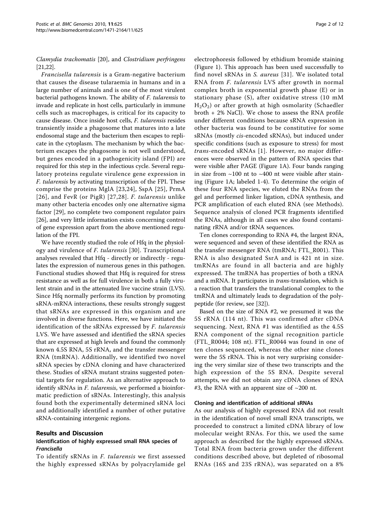#### Clamydia trachomatis [\[20](#page-11-0)], and Clostridium perfringens [[21,22\]](#page-11-0).

Francisella tularensis is a Gram-negative bacterium that causes the disease tularaemia in humans and in a large number of animals and is one of the most virulent bacterial pathogens known. The ability of F. tularensis to invade and replicate in host cells, particularly in immune cells such as macrophages, is critical for its capacity to cause disease. Once inside host cells, F. tularensis resides transiently inside a phagosome that matures into a late endosomal stage and the bacterium then escapes to replicate in the cytoplasm. The mechanism by which the bacterium escapes the phagosome is not well understood, but genes encoded in a pathogenicity island (FPI) are required for this step in the infectious cycle. Several regulatory proteins regulate virulence gene expression in F. tularensis by activating transcription of the FPI. These comprise the proteins MglA [\[23,24\]](#page-11-0), SspA [[25](#page-11-0)], PrmA [[26\]](#page-11-0), and FevR (or PigR) [[27,28\]](#page-11-0). F. tularensis unlike many other bacteria encodes only one alternative sigma factor [\[29](#page-12-0)], no complete two component regulator pairs [[26\]](#page-11-0), and very little information exists concerning control of gene expression apart from the above mentioned regulation of the FPI.

We have recently studied the role of Hfq in the physiology and virulence of F. tularensis [[30\]](#page-12-0). Transcriptional analyses revealed that Hfq - directly or indirectly - regulates the expression of numerous genes in this pathogen. Functional studies showed that Hfq is required for stress resistance as well as for full virulence in both a fully virulent strain and in the attenuated live vaccine strain (LVS). Since Hfq normally performs its function by promoting sRNA-mRNA interactions, these results strongly suggest that sRNAs are expressed in this organism and are involved in diverse functions. Here, we have initiated the identification of the sRNAs expressed by F. tularensis LVS. We have assessed and identified the sRNA species that are expressed at high levels and found the commonly known 4.5S RNA, 5S rRNA, and the transfer messenger RNA (tmRNA). Additionally, we identified two novel sRNA species by cDNA cloning and have characterized these. Studies of sRNA mutant strains suggested potential targets for regulation. As an alternative approach to identify sRNAs in *F. tularensis*, we performed a bioinformatic prediction of sRNAs. Interestingly, this analysis found both the experimentally determined sRNA loci and additionally identified a number of other putative sRNA-containing intergenic regions.

#### Results and Discussion

#### Identification of highly expressed small RNA species of Francisella

To identify sRNAs in F. tularensis we first assessed the highly expressed sRNAs by polyacrylamide gel

electrophoresis followed by ethidium bromide staining (Figure [1\)](#page-3-0). This approach has been used successfully to find novel sRNAs in S. aureus [[31](#page-12-0)]. We isolated total RNA from F. tularensis LVS after growth in normal complex broth in exponential growth phase (E) or in stationary phase (S), after oxidative stress (10 mM H2O<sup>2</sup> ) or after growth at high osmolarity (Schaedler broth + 2% NaCl). We chose to assess the RNA profile under different conditions because sRNA expression in other bacteria was found to be constitutive for some sRNAs (mostly cis-encoded sRNAs), but induced under specific conditions (such as exposure to stress) for most trans-encoded sRNAs [[1](#page-11-0)]. However, no major differences were observed in the pattern of RNA species that were visible after PAGE (Figure [1A\)](#page-3-0). Four bands ranging in size from  $\sim$ 100 nt to  $\sim$ 400 nt were visible after staining (Figure [1A;](#page-3-0) labeled 1-4). To determine the origin of these four RNA species, we eluted the RNAs from the gel and performed linker ligation, cDNA synthesis, and PCR amplification of each eluted RNA (see Methods). Sequence analysis of cloned PCR fragments identified the RNAs, although in all cases we also found contaminating rRNA and/or tRNA sequences.

Ten clones corresponding to RNA #4, the largest RNA, were sequenced and seven of these identified the RNA as the transfer messenger RNA (tmRNA; FTL\_R001). This RNA is also designated SsrA and is 421 nt in size. tmRNAs are found in all bacteria and are highly expressed. The tmRNA has properties of both a tRNA and a mRNA. It participates in *trans*-translation, which is a reaction that transfers the translational complex to the tmRNA and ultimately leads to degradation of the polypeptide (for review, see [\[32](#page-12-0)]).

Based on the size of RNA #2, we presumed it was the 5S rRNA (114 nt). This was confirmed after cDNA sequencing. Next, RNA #1 was identified as the 4.5S RNA component of the signal recognition particle (FTL\_R0044; 108 nt). FTL\_R0044 was found in one of ten clones sequenced, whereas the other nine clones were the 5S rRNA. This is not very surprising considering the very similar size of these two transcripts and the high expression of the 5S RNA. Despite several attempts, we did not obtain any cDNA clones of RNA #3, the RNA with an apparent size of  $\sim$ 200 nt.

#### Cloning and identification of additional sRNAs

As our analysis of highly expressed RNA did not result in the identification of novel small RNA transcripts, we proceeded to construct a limited cDNA library of low molecular weight RNAs. For this, we used the same approach as described for the highly expressed sRNAs. Total RNA from bacteria grown under the different conditions described above, but depleted of ribosomal RNAs (16S and 23S rRNA), was separated on a 8%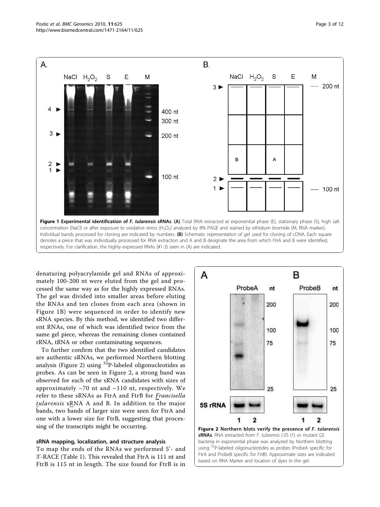<span id="page-3-0"></span>

denaturing polyacrylamide gel and RNAs of approximately 100-200 nt were eluted from the gel and processed the same way as for the highly expressed RNAs. The gel was divided into smaller areas before eluting the RNAs and ten clones from each area (shown in Figure 1B) were sequenced in order to identify new sRNA species. By this method, we identified two different RNAs, one of which was identified twice from the same gel piece, whereas the remaining clones contained rRNA, tRNA or other contaminating sequences.

To further confirm that the two identified candidates are authentic sRNAs, we performed Northern blotting analysis (Figure 2) using  $3^{2}P$ -labeled oligonucleotides as probes. As can be seen in Figure 2, a strong band was observed for each of the sRNA candidates with sizes of approximately  $\sim$ 70 nt and  $\sim$ 110 nt, respectively. We refer to these sRNAs as FtrA and FtrB for Francisella tularensis sRNA A and B. In addition to the major bands, two bands of larger size were seen for FtrA and one with a lower size for FtrB, suggesting that processing of the transcripts might be occurring.

#### sRNA mapping, localization, and structure analysis

To map the ends of the RNAs we performed 5'- and 3'-RACE (Table [1\)](#page-4-0). This revealed that FtrA is 111 nt and FtrB is 115 nt in length. The size found for FtrB is in

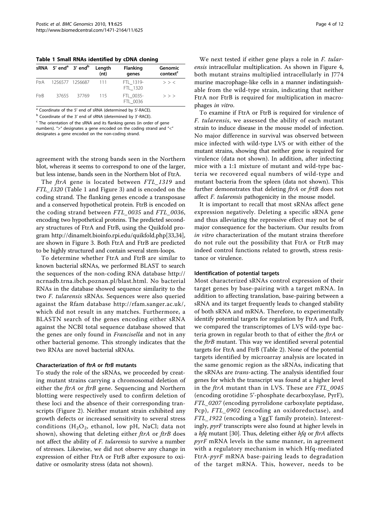<span id="page-4-0"></span>Table 1 Small RNAs identified by cDNA cloning

|      |                 | sRNA 5' end <sup>a</sup> 3' end <sup>b</sup> Length | (nt)  | <b>Flanking</b><br>genes | Genomic<br>context <sup>c</sup> |
|------|-----------------|-----------------------------------------------------|-------|--------------------------|---------------------------------|
| FtrA | 1256577 1256687 |                                                     | - 111 | FTL 1319-<br>FTL 1320    | $>$ $>$ $<$                     |
| FtrB | 37655           | 37769                                               | 115   | FTL 0035-<br>FTL 0036    | $>$ $>$ $>$                     |

<sup>a</sup> Coordinate of the 5' end of sRNA (determined by 5'-RACE).

<sup>b</sup> Coordinate of the 3' end of sRNA (determined by 3'-RACE).

<sup>c</sup> The orientation of the sRNA and its flanking genes (in order of gene numbers). ">" designates a gene encoded on the coding strand and "<"

designates a gene encoded on the non-coding strand.

agreement with the strong bands seen in the Northern blot, whereas it seems to correspond to one of the larger, but less intense, bands seen in the Northern blot of FtrA.

The *ftrA* gene is located between FTL\_1319 and FTL\_1320 (Table 1 and Figure [3\)](#page-5-0) and is encoded on the coding strand. The flanking genes encode a transposase and a conserved hypothetical protein. FtrB is encoded on the coding strand between FTL\_0035 and FTL\_0036, encoding two hypothetical proteins. The predicted secondary structures of FtrA and FtrB, using the Quikfold program<http://dinamelt.bioinfo.rpi.edu/quikfold.php>[\[33,34](#page-12-0)], are shown in Figure [3](#page-5-0). Both FtrA and FtrB are predicted to be highly structured and contain several stem-loops.

To determine whether FtrA and FtrB are similar to known bacterial sRNAs, we performed BLAST to search the sequences of the non-coding RNA database [http://](http://ncrnadb.trna.ibch.poznan.pl/blast.html) [ncrnadb.trna.ibch.poznan.pl/blast.html](http://ncrnadb.trna.ibch.poznan.pl/blast.html). No bacterial RNAs in the database showed sequence similarity to the two F. tularensis sRNAs. Sequences were also queried against the Rfam database<http://rfam.sanger.ac.uk/>, which did not result in any matches. Furthermore, a BLASTN search of the genes encoding either sRNA against the NCBI total sequence database showed that the genes are only found in *Francisella* and not in any other bacterial genome. This strongly indicates that the two RNAs are novel bacterial sRNAs.

#### Characterization of ftrA or ftrB mutants

To study the role of the sRNAs, we proceeded by creating mutant strains carrying a chromosomal deletion of either the *ftrA* or *ftrB* gene. Sequencing and Northern blotting were respectively used to confirm deletion of these loci and the absence of their corresponding transcripts (Figure [2\)](#page-3-0). Neither mutant strain exhibited any growth defects or increased sensitivity to several stress conditions ( $H_2O_2$ , ethanol, low pH, NaCl; data not shown), showing that deleting either ftrA or ftrB does not affect the ability of F. tularensis to survive a number of stresses. Likewise, we did not observe any change in expression of either FtrA or FtrB after exposure to oxidative or osmolarity stress (data not shown).

We next tested if either gene plays a role in F. tularensis intracellular multiplication. As shown in Figure [4](#page-5-0), both mutant strains multiplied intracellularly in J774 murine macrophage-like cells in a manner indistinguishable from the wild-type strain, indicating that neither FtrA nor FtrB is required for multiplication in macrophages in vitro.

To examine if FtrA or FtrB is required for virulence of F. tularensis, we assessed the ability of each mutant strain to induce disease in the mouse model of infection. No major difference in survival was observed between mice infected with wild-type LVS or with either of the mutant strains, showing that neither gene is required for virulence (data not shown). In addition, after infecting mice with a 1:1 mixture of mutant and wild-type bacteria we recovered equal numbers of wild-type and mutant bacteria from the spleen (data not shown). This further demonstrates that deleting ftrA or frtB does not affect *F. tularensis* pathogenicity in the mouse model.

It is important to recall that most sRNAs affect gene expression negatively. Deleting a specific sRNA gene and thus alleviating the repressive effect may not be of major consequence for the bacterium. Our results from in vitro characterization of the mutant strains therefore do not rule out the possibility that FtrA or FtrB may indeed control functions related to growth, stress resistance or virulence.

#### Identification of potential targets

Most characterized sRNAs control expression of their target genes by base-pairing with a target mRNA. In addition to affecting translation, base-pairing between a sRNA and its target frequently leads to changed stability of both sRNA and mRNA. Therefore, to experimentally identify potential targets for regulation by FtrA and FtrB, we compared the transcriptomes of LVS wild-type bacteria grown in regular broth to that of either the ftrA or the ftrB mutant. This way we identified several potential targets for FtrA and FtrB (Table [2](#page-6-0)). None of the potential targets identified by microarray analysis are located in the same genomic region as the sRNAs, indicating that the sRNAs are trans-acting. The analysis identified four genes for which the transcript was found at a higher level in the ftrA mutant than in LVS. These are FTL\_0045 (encoding orotidine 5'-phosphate decarboxylase, PyrF), FTL\_0207 (encoding pyrrolidone carboxylate peptidase, Pcp), FTL\_0902 (encoding an oxidoreductase), and FTL\_1922 (encoding a YggT family protein). Interestingly, pyrF transcripts were also found at higher levels in a  $h f q$  mutant [[30](#page-12-0)]. Thus, deleting either  $h f q$  or  $f tr A$  affects pyrF mRNA levels in the same manner, in agreement with a regulatory mechanism in which Hfq-mediated FtrA-pyrF mRNA base-pairing leads to degradation of the target mRNA. This, however, needs to be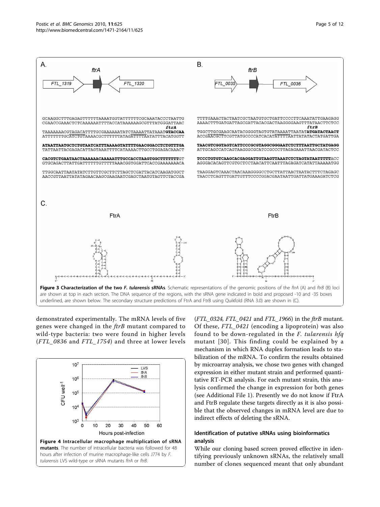<span id="page-5-0"></span>

demonstrated experimentally. The mRNA levels of five genes were changed in the ftrB mutant compared to wild-type bacteria: two were found in higher levels (FTL\_0836 and FTL\_1754) and three at lower levels



 $(FTL_0324, FTL_0421$  and  $FTL_1966$ ) in the  $frB$  mutant. Of these, FTL\_0421 (encoding a lipoprotein) was also found to be down-regulated in the  $F$ . tularensis hfq mutant [[30](#page-12-0)]. This finding could be explained by a mechanism in which RNA duplex formation leads to stabilization of the mRNA. To confirm the results obtained by microarray analysis, we chose two genes with changed expression in either mutant strain and performed quantitative RT-PCR analysis. For each mutant strain, this analysis confirmed the change in expression for both genes (see Additional File [1\)](#page-11-0). Presently we do not know if FtrA and FtrB regulate these targets directly as it is also possible that the observed changes in mRNA level are due to indirect effects of deleting the sRNA.

#### Identification of putative sRNAs using bioinformatics analysis

While our cloning based screen proved effective in identifying previously unknown sRNAs, the relatively small number of clones sequenced meant that only abundant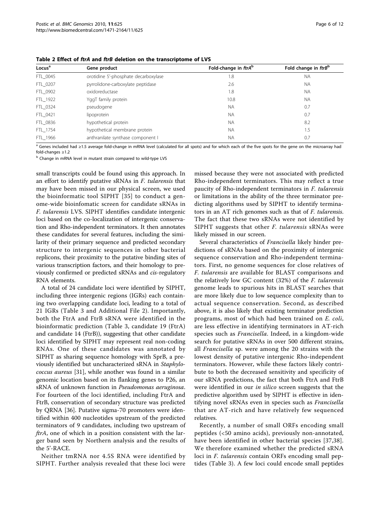| Locus <sup>a</sup> | Gene product                         | Fold-change in ftrA <sup>b</sup> | Fold change in ftrB <sup>b</sup> |
|--------------------|--------------------------------------|----------------------------------|----------------------------------|
| FTL_0045           | orotidine 5'-phosphate decarboxylase | 1.8                              | <b>NA</b>                        |
| FTL_0207           | pyrrolidone-carboxylate peptidase    | 2.6                              | NA.                              |
| FTL_0902           | oxidoreductase                       | 1.8                              | <b>NA</b>                        |
| FTL_1922           | YggT family protein                  | 10.8                             | <b>NA</b>                        |
| FTL_0324           | pseudogene                           | <b>NA</b>                        | 0.7                              |
| FTL_0421           | lipoprotein                          | <b>NA</b>                        | 0.7                              |
| FTL_0836           | hypothetical protein                 | NA.                              | 8.2                              |
| FTL 1754           | hypothetical membrane protein        | NA.                              | 1.5                              |
| FTL 1966           | anthranilate synthase component I    | <b>NA</b>                        | 0.7                              |

<span id="page-6-0"></span>Table 2 Effect of ftrA and ftrB deletion on the transcriptome of LVS

a Genes included had ≥1.5 average fold-change in mRNA level (calculated for all spots) and for which each of the five spots for the gene on the microarray had fold-changes ≥1.2

<sup>b</sup> Change in mRNA level in mutant strain compared to wild-type LVS

small transcripts could be found using this approach. In an effort to identify putative sRNAs in F. tularensis that may have been missed in our physical screen, we used the bioinformatic tool SIPHT [[35\]](#page-12-0) to conduct a genome-wide bioinfomatic screen for candidate sRNAs in F. tularensis LVS. SIPHT identifies candidate intergenic loci based on the co-localization of intergenic conservation and Rho-independent terminators. It then annotates these candidates for several features, including the similarity of their primary sequence and predicted secondary structure to intergenic sequences in other bacterial replicons, their proximity to the putative binding sites of various transcription factors, and their homology to previously confirmed or predicted sRNAs and cis-regulatory RNA elements.

A total of 24 candidate loci were identified by SIPHT, including three intergenic regions (IGRs) each containing two overlapping candidate loci, leading to a total of 21 IGRs (Table [3](#page-7-0) and Additional File [2\)](#page-11-0). Importantly, both the FtrA and FtrB sRNA were identified in the bioinformatic prediction (Table [3,](#page-7-0) candidate 19 (FtrA) and candidate 14 (FtrB)), suggesting that other candidate loci identified by SIPHT may represent real non-coding RNAs. One of these candidates was annotated by SIPHT as sharing sequence homology with SprB, a previously identified but uncharacterized sRNA in Staphylococcus aureus [\[31](#page-12-0)], while another was found in a similar genomic location based on its flanking genes to P26, an sRNA of unknown function in Pseudomonas aeruginosa. For fourteen of the loci identified, including FtrA and FtrB, conservation of secondary structure was predicted by QRNA [\[36](#page-12-0)]. Putative sigma-70 promoters were identified within 400 nucleotides upstream of the predicted terminators of 9 candidates, including two upstream of *ftrA*, one of which in a position consistent with the larger band seen by Northern analysis and the results of the 5'-RACE.

Neither tmRNA nor 4.5S RNA were identified by SIPHT. Further analysis revealed that these loci were

missed because they were not associated with predicted Rho-independent terminators. This may reflect a true paucity of Rho-independent terminators in F. tularensis or limitations in the ability of the three terminator predicting algorithms used by SIPHT to identify terminators in an AT rich genomes such as that of F. tularensis. The fact that these two sRNAs were not identified by SIPHT suggests that other F. tularensis sRNAs were likely missed in our screen.

Several characteristics of Francisella likely hinder predictions of sRNAs based on the proximity of intergenic sequence conservation and Rho-independent terminators. First, no genome sequences for close relatives of F. tularensis are available for BLAST comparisons and the relatively low GC content (32%) of the F. tularensis genome leads to spurious hits in BLAST searches that are more likely due to low sequence complexity than to actual sequence conservation. Second, as described above, it is also likely that existing terminator prediction programs, most of which had been trained on E. coli, are less effective in identifying terminators in AT-rich species such as Francisella. Indeed, in a kingdom-wide search for putative sRNAs in over 500 different strains, all Francisella sp. were among the 20 strains with the lowest density of putative intergenic Rho-independent terminators. However, while these factors likely contribute to both the decreased sensitivity and specificity of our sRNA predictions, the fact that both FtrA and FtrB were identified in our in silico screen suggests that the predictive algorithm used by SIPHT is effective in identifying novel sRNAs even in species such as Francisella that are AT-rich and have relatively few sequenced relatives.

Recently, a number of small ORFs encoding small peptides (<50 amino acids), previously non-annotated, have been identified in other bacterial species [[37](#page-12-0),[38](#page-12-0)]. We therefore examined whether the predicted sRNA loci in *F. tularensis* contain ORFs encoding small peptides (Table [3](#page-7-0)). A few loci could encode small peptides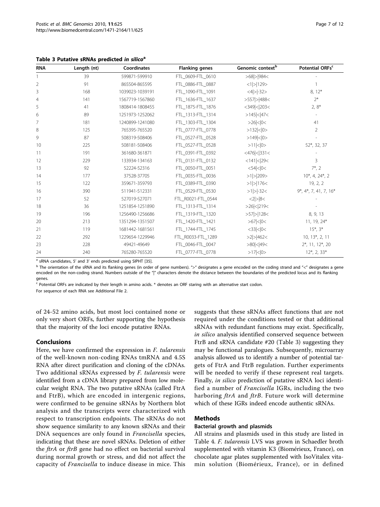<span id="page-7-0"></span>Table 3 Putative sRNAs predicted in silico<sup>a</sup>

| <b>RNA</b>     | Length (nt) | Coordinates     | <b>Flanking genes</b> | Genomic context <sup>b</sup> | Potential ORFs <sup>c</sup> |
|----------------|-------------|-----------------|-----------------------|------------------------------|-----------------------------|
|                | 39          | 599871-599910   | FTL 0609-FTL 0610     | $>68$  > 984<                |                             |
| $\overline{2}$ | 91          | 865504-865595   | FTL 0886-FTL 0887     | $<1$  > 129>                 |                             |
| 3              | 168         | 1039023-1039191 | FTL 1090-FTL 1091     | $<4$  > -32>                 | $8, 12*$                    |
| $\overline{4}$ | 141         | 1567719-1567860 | FTL_1636-FTL_1637     | >557 > 488<                  | $2*$                        |
| 5              | 41          | 1808414-1808455 | FTL_1875-FTL_1876     | $<$ 349 $ <$ 203 $<$         | $2,8*$                      |
| 6              | 89          | 1251973-1252062 | FTL_1313-FTL_1314     | $>145$  < 47<                |                             |
| 7              | 181         | 1240899-1241080 | FTL_1303-FTL_1304     | $>26$ < 0<                   | 41                          |
| 8              | 125         | 765395-765520   | FTL_0777-FTL_0778     | $>132$  < 0>                 | 2                           |
| 9              | 87          | 508319-508406   | FTL 0527-FTL 0528     | $>149$ < 0>                  |                             |
| 10             | 225         | 508181-508406   | FTL 0527-FTL 0528     | $>11$  < 0>                  | 52*, 32, 37                 |
| 11             | 191         | 361680-361871   | FTL 0391-FTL 0392     | $<$ 476 $ <$ 331 $<$         |                             |
| 12             | 229         | 133934-134163   | FTL 0131-FTL 0132     | $<$ 141 $ <$ 29 $<$          | 3                           |
| 13             | 92          | 52224-52316     | FTL 0050-FTL 0051     | $<$ 54 $ <$ 0 $<$            | $7^*$ , 2                   |
| 14             | 177         | 37528-37705     | FTL_0035-FTL_0036     | $>1$  > 209>                 | $10^*$ , 4, 24 $^*$ , 2     |
| 15             | 122         | 359671-359793   | FTL_0389-FTL_0390     | $>1$  > 176<                 | 19, 2, 2                    |
| 16             | 390         | 511941-512331   | FTL 0529-FTL 0530     | $>1$  > -32<                 | $9^*$ , 4*, 7, 41, 7, 16*   |
| 17             | 52          | 527019-527071   | FTL_R0021-FTL_0544    | $<2$  > 8<                   |                             |
| 18             | 36          | 1251854-1251890 | FTL_1313-FTL_1314     | $>26$  < 219<                |                             |
| 19             | 196         | 1256490-1256686 | FTL_1319-FTL_1320     | $>57$  > 128<                | 8, 9, 13                    |
| 20             | 213         | 1351294-1351507 | FTL_1420-FTL_1421     | $>67$ < 0<                   | 11, 19, 24*                 |
| 21             | 119         | 1681442-1681561 | FTL 1744-FTL 1745     | <33 < 0<                     | $15^*$ , $3^*$              |
| 22             | 292         | 1229654-1229946 | FTL R0033-FTL 1289    | $>2$  > 462<                 | 10, 13*, 2, 11              |
| 23             | 228         | 49421-49649     | FTL_0046-FTL_0047     | $>80$  < 49<                 | $2^*$ , 11, 12 $^*$ , 20    |
| 24             | 240         | 765280-765520   | FTL_0777-FTL_0778     | $>17$  < 0>                  | $12^*$ , 2, 33*             |

<sup>a</sup> sRNA candidates, 5' and 3' ends predicted using SIPHT [[35\]](#page-12-0).

 $^{\rm b}$  The orientation of the sRNA and its flanking genes (in order of gene numbers). ">" designates a gene encoded on the coding strand and "<" designates a gene encoded on the non-coding strand. Numbers outside of the "|" characters denote the distance between the boundaries of the predicted locus and its flanking genes.

<sup>c</sup> Potential ORFs are indicated by their length in amino acids. \* denotes an ORF staring with an alternative start codon.

For sequence of each RNA see Additional File [2](#page-11-0).

of 24-52 amino acids, but most loci contained none or only very short ORFs, further supporting the hypothesis that the majority of the loci encode putative RNAs.

#### Conclusions

Here, we have confirmed the expression in F. tularensis of the well-known non-coding RNAs tmRNA and 4.5S RNA after direct purification and cloning of the cDNAs. Two additional sRNAs expressed by F. tularensis were identified from a cDNA library prepared from low molecular weight RNA. The two putative sRNAs (called FtrA and FtrB), which are encoded in intergenic regions, were confirmed to be genuine sRNAs by Northern blot analysis and the transcripts were characterized with respect to transcription endpoints. The sRNAs do not show sequence similarity to any known sRNAs and their DNA sequences are only found in Francisella species, indicating that these are novel sRNAs. Deletion of either the *ftrA* or *ftrB* gene had no effect on bacterial survival during normal growth or stress, and did not affect the capacity of Francisella to induce disease in mice. This

suggests that these sRNAs affect functions that are not required under the conditions tested or that additional sRNAs with redundant functions may exist. Specifically, in silico analysis identified conserved sequence between FtrB and sRNA candidate #20 (Table 3) suggesting they may be functional paralogues. Subsequently, microarray analysis allowed us to identify a number of potential targets of FtrA and FtrB regulation. Further experiments will be needed to verify if these represent real targets. Finally, in silico prediction of putative sRNA loci identified a number of Francisella IGRs, including the two harboring ftrA and ftrB. Future work will determine which of these IGRs indeed encode authentic sRNAs.

#### Methods

#### Bacterial growth and plasmids

All strains and plasmids used in this study are listed in Table [4.](#page-8-0) F. tularensis LVS was grown in Schaedler broth supplemented with vitamin K3 (Biomérieux, France), on chocolate agar plates supplemented with IsoVitalex vitamin solution (Biomérieux, France), or in defined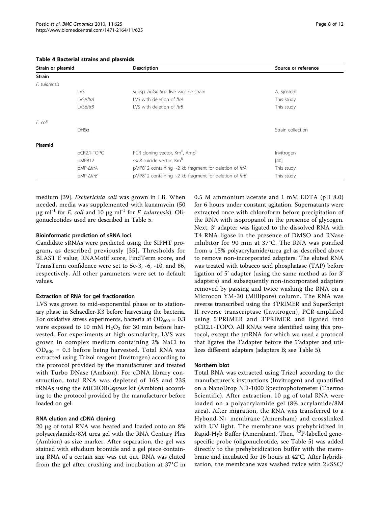| Strain or plasmid<br><b>Strain</b> |                 | <b>Description</b>                                          | Source or reference |
|------------------------------------|-----------------|-------------------------------------------------------------|---------------------|
|                                    |                 |                                                             |                     |
| F. tularensis                      |                 |                                                             |                     |
|                                    | <b>LVS</b>      | subsp. holarctica, live vaccine strain                      | A. Sjöstedt         |
|                                    | LVS∆ftrA        | LVS with deletion of ftrA                                   | This study          |
|                                    | LVS∆ftrB        | LVS with deletion of ftrB                                   | This study          |
| E. coli                            |                 |                                                             |                     |
|                                    | $DH5\alpha$     |                                                             | Strain collection   |
| Plasmid                            |                 |                                                             |                     |
|                                    | pCR2.1-TOPO     | PCR cloning vector, Km <sup>R</sup> , Amp <sup>R</sup>      | Invitrogen          |
|                                    | pMP812          | sacB suicide vector, Km <sup>R</sup>                        | $[40]$              |
|                                    | pMP-∆ftrA       | pMP812 containing $\sim$ 2 kb fragment for deletion of ftrA | This study          |
|                                    | $pMP-A$ ftr $B$ | pMP812 containing $\sim$ 2 kb fragment for deletion of ftrB | This study          |

#### <span id="page-8-0"></span>Table 4 Bacterial strains and plasmids

medium [\[39](#page-12-0)]. Escherichia coli was grown in LB. When needed, media was supplemented with kanamycin (50 μg ml<sup>-1</sup> for *E. coli* and 10 μg ml<sup>-1</sup> for *F. tularensis*). Oligonucleotides used are described in Table [5](#page-9-0).

#### Bioinformatic prediction of sRNA loci

Candidate sRNAs were predicted using the SIPHT program, as described previously [[35](#page-12-0)]. Thresholds for BLAST E value, RNAMotif score, FindTerm score, and TransTerm confidence were set to 5e-3, -6, -10, and 86, respectively. All other parameters were set to default values.

#### Extraction of RNA for gel fractionation

LVS was grown to mid-exponential phase or to stationary phase in Schaedler-K3 before harvesting the bacteria. For oxidative stress experiments, bacteria at  $OD_{600} = 0.3$ were exposed to 10 mM  $\rm H_2O_2$  for 30 min before harvested. For experiments at high osmolarity, LVS was grown in complex medium containing 2% NaCl to  $OD_{600} = 0.3$  before being harvested. Total RNA was extracted using Trizol reagent (Invitrogen) according to the protocol provided by the manufacturer and treated with Turbo DNase (Ambion). For cDNA library construction, total RNA was depleted of 16S and 23S rRNAs using the MICROBExpress kit (Ambion) according to the protocol provided by the manufacturer before loaded on gel.

#### RNA elution and cDNA cloning

20 μg of total RNA was heated and loaded onto an 8% polyacrylamide/8M urea gel with the RNA Century Plus (Ambion) as size marker. After separation, the gel was stained with ethidium bromide and a gel piece containing RNA of a certain size was cut out. RNA was eluted from the gel after crushing and incubation at 37°C in 0.5 M ammonium acetate and 1 mM EDTA (pH 8.0) for 6 hours under constant agitation. Supernatants were extracted once with chloroform before precipitation of the RNA with isopropanol in the presence of glycogen. Next, 3' adapter was ligated to the dissolved RNA with T4 RNA ligase in the presence of DMSO and RNase inhibitor for 90 min at 37°C. The RNA was purified from a 15% polyacrylamide/urea gel as described above to remove non-incorporated adapters. The eluted RNA was treated with tobacco acid phosphatase (TAP) before ligation of 5' adapter (using the same method as for 3' adapters) and subsequently non-incorporated adapters removed by passing and twice washing the RNA on a Microcon YM-30 (Millipore) column. The RNA was reverse transcribed using the 3'PRIMER and SuperScript II reverse transcriptase (Invitrogen), PCR amplified using 5'PRIMER and 3'PRIMER and ligated into pCR2.1-TOPO. All RNAs were identified using this protocol, except the tmRNA for which we used a protocol that ligates the 3'adapter before the 5'adapter and utilizes different adapters (adapters B; see Table [5\)](#page-9-0).

#### Northern blot

Total RNA was extracted using Trizol according to the manufacturer's instructions (Invitrogen) and quantified on a NanoDrop ND-1000 Spectrophotometer (Thermo Scientific). After extraction, 10 μg of total RNA were loaded on a polyacrylamide gel (8% acrylamide/8M urea). After migration, the RNA was transferred to a Hybond-N+ membrane (Amersham) and crosslinked with UV light. The membrane was prehybridized in Rapid-Hyb Buffer (Amersham). Then, <sup>32</sup>P-labelled genespecific probe (oligonucleotide, see Table [5](#page-9-0)) was added directly to the prehybridization buffer with the membrane and incubated for 16 hours at 42°C. After hybridization, the membrane was washed twice with 2×SSC/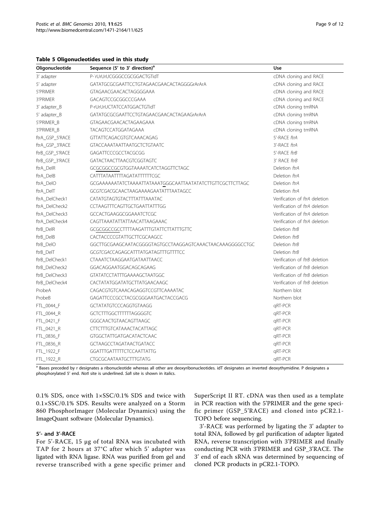#### <span id="page-9-0"></span>Table 5 Oligonucleotides used in this study

| Oligonucleotide | Sequence $(5'$ to 3' direction) <sup>a</sup>               | Use                           |
|-----------------|------------------------------------------------------------|-------------------------------|
| 3' adapter      | P-rUrUrUCGGGCCGCGGACTGTidT                                 | cDNA cloning and RACE         |
| 5' adapter      | GATATGCGCGAATTCCTGTAGAACGAACACTAGGGGrArArA                 | cDNA cloning and RACE         |
| 5'PRIMER        | GTAGAACGAACACTAGGGGAAA                                     | cDNA cloning and RACE         |
| 3'PRIMER        | GACAGTCCGCGGCCCGAAA                                        | cDNA cloning and RACE         |
| 3' adapter_B    | P-rUrUrUCTATCCATGGACTGTidT                                 | cDNA cloning tmRNA            |
| 5' adapter_B    | GATATGCGCGAATTCCTGTAGAACGAACACTAGAAGrArArA                 | cDNA cloning tmRNA            |
| 5'PRIMER_B      | GTAGAACGAACACTAGAAGAAA                                     | cDNA cloning tmRNA            |
| 3'PRIMER_B      | TACAGTCCATGGATAGAAA                                        | cDNA cloning tmRNA            |
| ftrA_GSP_5'RACE | <b>GTTATTCAGACGTGTCAAACAGAG</b>                            | 5'-RACE ftrA                  |
| ftrA_GSP_3'RACE | <b>GTACCAAATAATTAATGCTCTGTAATC</b>                         | 3'-RACE ftrA                  |
| ftrB_GSP_5'RACE | GAGATTCCCGCCTACGCGG                                        | 5'-RACE ftrB                  |
| ftrB_GSP_3'RACE | <b>GATACTAACTTAACGTCGGTAGTC</b>                            | 3' RACE ftrB                  |
| ftrA_DelR       | GCGCGGCCGCGTGGTAAAATCATCTAGGTTCTAGC                        | Deletion ftrA                 |
| ftrA_DelB       | CATTTATAATTTTAGATATTTTTCGC                                 | Deletion ftrA                 |
| ftrA_DelO       | GCGAAAAAATATCTAAAATTATAAATGGGCAATTAATATATCTTGTTCGCTTCTTAGC | Deletion ftrA                 |
| ftrA_DelT       | GCGTCGACGCAACTAAGAAAAGAATATTTAATAGCC                       | Deletion ftrA                 |
| ftrA_DelCheck1  | CATATGTAGTGTACTTTATTTAAATAC                                | Verification of ftrA deletion |
| ftrA_DelCheck2  | CCTAAGTTTCAGTTGCTGAATTATTTGG                               | Verification of ftrA deletion |
| ftrA_DelCheck3  | GCCACTGAAGGCGGAAATCTCGC                                    | Verification of ftrA deletion |
| ftrA_DelCheck4  | CAGTTAAATATTATTAACATTAAGAAAC                               | Verification of ftrA deletion |
| ftrB_DelR       | GCGCGGCCGCCTTTTAAGATTTGTATTCTTATTTGTTC                     | Deletion ftrB                 |
| ftrB_DelB       | CACTACCCCGTATTGCTTCGCAAGCC                                 | Deletion ftrB                 |
| ftrB_DelO       | GGCTTGCGAAGCAATACGGGGTAGTGCCTAAGGAGTCAAACTAACAAAGGGGCCTGC  | Deletion ftrB                 |
| ftrB_DelT       | GCGTCGACCAGAGCATTTATGATAGTTTGTTTCC                         | Deletion ftrB                 |
| ftrB_DelCheck1  | CTAAATCTAAGGAATGATAATTAACC                                 | Verification of ftrB deletion |
| ftrB_DelCheck2  | GGACAGGAATGGACAGCAGAAG                                     | Verification of ftrB deletion |
| ftrB_DelCheck3  | <b>GTATATCCTATTTGAAAAGCTAATGGC</b>                         | Verification of ftrB deletion |
| ftrB_DelCheck4  | CACTATATGGATATGCTTATGAACAAGC                               | Verification of ftrB deletion |
| ProbeA          | CAGACGTGTCAAACAGAGGTCCGTTCAAAATAC                          | Northern blot                 |
| ProbeB          | GAGATTCCCGCCTACGCGGGAATGACTACCGACG                         | Northern blot                 |
| FTL_0044_F      | GCTATATGTCCCAGGTGTAAGG                                     | qRT-PCR                       |
| FTL_0044_R      | GCTCTTTGGCTTTTTTAGGGGTC                                    | qRT-PCR                       |
| FTL_0421_F      | GGGCAACTGTAACAGTTAAGC                                      | qRT-PCR                       |
| FTL_0421_R      | <b>CTTCTTTGTCATAAACTACATTAGC</b>                           | qRT-PCR                       |
| FTL_0836_F      | <b>GTGGCTATTGATGACATACTCAAC</b>                            | qRT-PCR                       |
| FTL_0836_R      | GCTAAGCCTAGATAACTGATACC                                    | qRT-PCR                       |
| FTL_1922_F      | <b>GGATTTGATTTTTCTCCAATTATTG</b>                           | qRT-PCR                       |
| FTL_1922_R      | <b>CTGCGCAATAATGCTTTGTATG</b>                              | qRT-PCR                       |

<sup>a</sup> Bases preceded by r designates a ribonucleotide whereas all other are deoxyribonucleotides. idT designates an inverted deoxythymidine. P designates a phosphorylated 5' end. Notl site is underlined. Sall site is shown in italics.

0.1% SDS, once with  $1 \times SSC/0.1\%$  SDS and twice with 0.1×SSC/0.1% SDS. Results were analyzed on a Storm 860 PhosphorImager (Molecular Dynamics) using the ImageQuant software (Molecular Dynamics).

#### 5'- and 3'-RACE

For 5'-RACE, 15 μg of total RNA was incubated with TAP for 2 hours at 37°C after which 5' adapter was ligated with RNA ligase. RNA was purified from gel and reverse transcribed with a gene specific primer and SuperScript II RT. cDNA was then used as a template in PCR reaction with the 5'PRIMER and the gene specific primer (GSP\_5'RACE) and cloned into pCR2.1- TOPO before sequencing.

3'-RACE was performed by ligating the 3' adapter to total RNA, followed by gel purification of adapter ligated RNA, reverse transcription with 3'PRIMER and finally conducting PCR with 3'PRIMER and GSP\_3'RACE. The 3' end of each sRNA was determined by sequencing of cloned PCR products in pCR2.1-TOPO.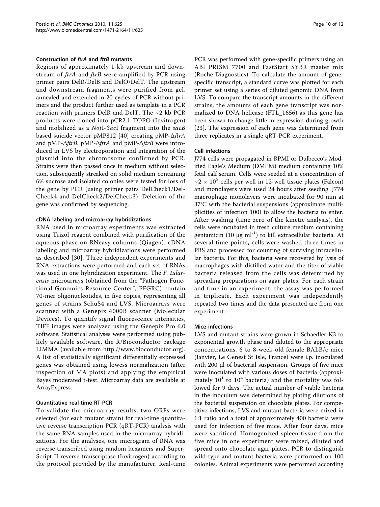#### Construction of ftrA and ftrB mutants

Regions of approximately 1 kb upstream and downstream of ftrA and ftrB were amplified by PCR using primer pairs DelR/DelB and DelO/DelT. The upstream and downstream fragments were purified from gel, annealed and extended in 20 cycles of PCR without primers and the product further used as template in a PCR reaction with primers DelR and DelT. The ~2 kb PCR products were cloned into pCR2.1-TOPO (Invitrogen) and mobilized as a NotI-SacI fragment into the sacB based suicide vector pMP812 [[40](#page-12-0)] creating pMP-∆ftrA and pMP-∆ftrB. pMP-∆ftrA and pMP-∆ftrB were introduced in LVS by electroporation and integration of the plasmid into the chromosome confirmed by PCR. Strains were then passed once in medium without selection, subsequently streaked on solid medium containing 6% sucrose and isolated colonies were tested for loss of the gene by PCR (using primer pairs DelCheck1/Del-Check4 and DelCheck2/DelCheck3). Deletion of the gene was confirmed by sequencing.

#### cDNA labeling and microarray hybridizations

RNA used in microarray experiments was extracted using Trizol reagent combined with purification of the aqueous phase on RNeasy columns (Qiagen). cDNA labeling and microarray hybridizations were performed as described [[30\]](#page-12-0). Three independent experiments and RNA extractions were performed and each set of RNAs was used in one hybridization experiment. The F. tularensis microarrays (obtained from the "Pathogen Functional Genomics Resource Center", PFGRC) contain 70-mer oligonucleotides, in five copies, representing all genes of strains SchuS4 and LVS. Microarrays were scanned with a Genepix 4000B scanner (Molecular Devices). To quantify signal fluorescence intensities, TIFF images were analyzed using the Genepix Pro 6.0 software. Statistical analyses were performed using publicly available software, the R/Bioconductor package LIMMA (available from<http://www.bioconductor.org>). A list of statistically significant differentially expressed genes was obtained using lowess normalization (after inspection of MA plots) and applying the empirical Bayes moderated t-test. Microarray data are available at ArrayExpress.

#### Quantitative real-time RT-PCR

To validate the microarray results, two ORFs were selected (for each mutant strain) for real-time quantitative reverse transcription PCR (qRT-PCR) analysis with the same RNA samples used in the microarray hybridizations. For the analyses, one microgram of RNA was reverse transcribed using random hexamers and Super-Script II reverse transcriptase (Invitrogen) according to the protocol provided by the manufacturer. Real-time PCR was performed with gene-specific primers using an ABI PRISM 7700 and FastStart SYBR master mix (Roche Diagnostics). To calculate the amount of genespecific transcript, a standard curve was plotted for each primer set using a series of diluted genomic DNA from LVS. To compare the transcript amounts in the different strains, the amounts of each gene transcript was normalized to DNA helicase (FTL\_1656) as this gene has been shown to change little in expression during growth [[23\]](#page-11-0). The expression of each gene was determined from three replicates in a single qRT-PCR experiment.

#### Cell infections

J774 cells were propagated in RPMI or Dulbecco's Modified Eagle's Medium (DMEM) medium containing 10% fetal calf serum. Cells were seeded at a concentration of  $\sim$ 2 × 10<sup>5</sup> cells per well in 12-well tissue plates (Falcon) and monolayers were used 24 hours after seeding. J774 macrophage monolayers were incubated for 90 min at 37°C with the bacterial suspensions (approximate multiplicities of infection 100) to allow the bacteria to enter. After washing (time zero of the kinetic analysis), the cells were incubated in fresh culture medium containing gentamicin (10 μg ml<sup>-1</sup>) to kill extracellular bacteria. At several time-points, cells were washed three times in PBS and processed for counting of surviving intracellular bacteria. For this, bacteria were recovered by lysis of macrophages with distilled water and the titer of viable bacteria released from the cells was determined by spreading preparations on agar plates. For each strain and time in an experiment, the assay was performed in triplicate. Each experiment was independently repeated two times and the data presented are from one experiment.

#### Mice infections

LVS and mutant strains were grown in Schaedler-K3 to exponential growth phase and diluted to the appropriate concentrations. 6 to 8-week-old female BALB/c mice (Janvier, Le Genest St Isle, France) were i.p. inoculated with 200 μl of bacterial suspension. Groups of five mice were inoculated with various doses of bacteria (approximately  $10^1$  to  $10^4$  bacteria) and the mortality was followed for 9 days. The actual number of viable bacteria in the inoculum was determined by plating dilutions of the bacterial suspension on chocolate plates. For competitive infections, LVS and mutant bacteria were mixed in 1:1 ratio and a total of approximately 400 bacteria were used for infection of five mice. After four days, mice were sacrificed. Homogenized spleen tissue from the five mice in one experiment were mixed, diluted and spread onto chocolate agar plates. PCR to distinguish wild-type and mutant bacteria were performed on 100 colonies. Animal experiments were performed according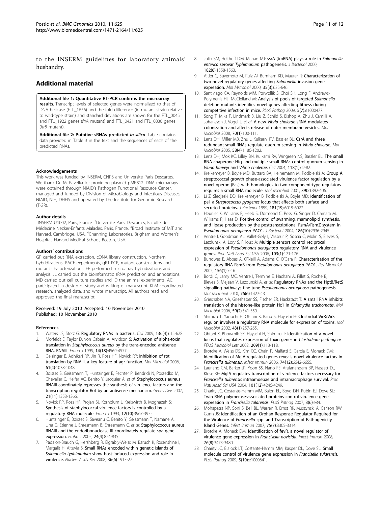<span id="page-11-0"></span>to the INSERM guidelines for laboratory animals' husbandry.

#### Additional material

[Additional file 1: Q](http://www.biomedcentral.com/content/supplementary/1471-2164-11-625-S1.PDF)uantitative RT-PCR confirms the microarray

results. Transcript levels of selected genes were normalized to that of DNA helicase (FTL\_1656) and the fold difference (in mutant strain relative to wild-type strain) and standard deviations are shown for the FTL\_0045 and FTL\_1922 genes (ftrA mutant) and FTL\_0421 and FTL\_0836 genes (ftrB mutant).

[Additional file 2: P](http://www.biomedcentral.com/content/supplementary/1471-2164-11-625-S2.DOC)utative sRNAs predicted in silico. Table contains data provided in Table [3](#page-7-0) in the text and the sequences of each of the predicted RNAs.

#### Acknowledgements

This work was funded by INSERM, CNRS and Université Paris Descartes. We thank Dr. M. Pavelka for providing plasmid pMP812. DNA microarrays were obtained through NIAID's Pathogen Functional Resource Center, managed and funded by Division of Microbiology and Infectious Diseases, NIAID, NIH, DHHS and operated by The Institute for Genomic Research (TIGR).

#### Author details

<sup>1</sup>INSERM U1002, Paris, France. <sup>2</sup>Université Paris Descartes, Faculté de Médecine Necker-Enfants Malades, Paris, France. <sup>3</sup>Broad Institute of MIT and Harvard, Cambridge, USA. <sup>4</sup>Channing Laboratories, Brigham and Women's Hospital, Harvard Medical School, Boston, USA.

#### Authors' contributions

GP carried out RNA extraction, cDNA library construction, Northern hybridizations, RACE experiments, qRT-PCR, mutant constructions and mutant characterizations. EF performed microarray hybridizations and analysis. JL carried out the bioinformatic sRNA prediction and annotations. MD carried out cell culture studies and ID the animal experiments. AC participated in design of study and writing of manuscript. KLM coordinated research, analyzed data, and wrote manuscript. All authors read and approved the final manuscript.

#### Received: 19 July 2010 Accepted: 10 November 2010 Published: 10 November 2010

#### References

- 1. Waters LS, Storz G: [Regulatory RNAs in bacteria.](http://www.ncbi.nlm.nih.gov/pubmed/19239884?dopt=Abstract) Cell 2009, 136(4):615-628.
- 2. Morfeldt E, Taylor D, von Gabain A, Arvidson S: [Activation of alpha-toxin](http://www.ncbi.nlm.nih.gov/pubmed/7556100?dopt=Abstract) translation in Staphylococcus aureus [by the trans-encoded antisense](http://www.ncbi.nlm.nih.gov/pubmed/7556100?dopt=Abstract) [RNA, RNAIII.](http://www.ncbi.nlm.nih.gov/pubmed/7556100?dopt=Abstract) Embo J 1995, 14(18):4569-4577.
- Geisinger E, Adhikari RP, Jin R, Ross HF, Novick RP: [Inhibition of rot](http://www.ncbi.nlm.nih.gov/pubmed/16879652?dopt=Abstract) [translation by RNAIII, a key feature of agr function.](http://www.ncbi.nlm.nih.gov/pubmed/16879652?dopt=Abstract) Mol Microbiol 2006, 61(4):1038-1048.
- 4. Boisset S, Geissmann T, Huntzinger E, Fechter P, Bendridi N, Possedko M, Chevalier C, Helfer AC, Benito Y, Jacquier A, et al: [Staphylococcus aureus](http://www.ncbi.nlm.nih.gov/pubmed/17545468?dopt=Abstract) [RNAIII coordinately represses the synthesis of virulence factors and the](http://www.ncbi.nlm.nih.gov/pubmed/17545468?dopt=Abstract) [transcription regulator Rot by an antisense mechanism.](http://www.ncbi.nlm.nih.gov/pubmed/17545468?dopt=Abstract) Genes Dev 2007, 21(11):1353-1366.
- 5. Novick RP, Ross HF, Projan SJ, Kornblum J, Kreiswirth B, Moghazeh S: [Synthesis of staphylococcal virulence factors is controlled by a](http://www.ncbi.nlm.nih.gov/pubmed/7691599?dopt=Abstract) [regulatory RNA molecule.](http://www.ncbi.nlm.nih.gov/pubmed/7691599?dopt=Abstract) Embo J 1993, 12(10):3967-3975.
- 6. Huntzinger E, Boisset S, Saveanu C, Benito Y, Geissmann T, Namane A, Lina G, Etienne J, Ehresmann B, Ehresmann C, et al: [Staphylococcus aureus](http://www.ncbi.nlm.nih.gov/pubmed/15678100?dopt=Abstract) [RNAIII and the endoribonuclease III coordinately regulate spa gene](http://www.ncbi.nlm.nih.gov/pubmed/15678100?dopt=Abstract) [expression.](http://www.ncbi.nlm.nih.gov/pubmed/15678100?dopt=Abstract) Embo J 2005, 24(4):824-835.
- 7. Padalon-Brauch G, Hershberg R, Elgrably-Weiss M, Baruch K, Rosenshine I, Margalit H, Altuvia S: [Small RNAs encoded within genetic islands of](http://www.ncbi.nlm.nih.gov/pubmed/18267966?dopt=Abstract) Salmonella typhimurium [show host-induced expression and role in](http://www.ncbi.nlm.nih.gov/pubmed/18267966?dopt=Abstract) [virulence.](http://www.ncbi.nlm.nih.gov/pubmed/18267966?dopt=Abstract) Nucleic Acids Res 2008, 36(6):1913-27.
- 8. Julio SM, Heithoff DM, Mahan MJ: [ssrA \(tmRNA\) plays a role in](http://www.ncbi.nlm.nih.gov/pubmed/10692360?dopt=Abstract) Salmonella enterica serovar Typhimurium [pathogenesis.](http://www.ncbi.nlm.nih.gov/pubmed/10692360?dopt=Abstract) J Bacteriol 2000, 182(6):1558-1563.
- 9. Altier C, Suyemoto M, Ruiz AI, Burnham KD, Maurer R: [Characterization of](http://www.ncbi.nlm.nih.gov/pubmed/10672185?dopt=Abstract) [two novel regulatory genes affecting](http://www.ncbi.nlm.nih.gov/pubmed/10672185?dopt=Abstract) Salmonella invasion gene [expression.](http://www.ncbi.nlm.nih.gov/pubmed/10672185?dopt=Abstract) Mol Microbiol 2000, 35(3):635-646.
- 10. Santiviago CA, Reynolds MM, Porwollik S, Choi SH, Long F, Andrews-Polymenis HL, McClelland M: [Analysis of pools of targeted](http://www.ncbi.nlm.nih.gov/pubmed/19578432?dopt=Abstract) Salmonella [deletion mutants identifies novel genes affecting fitness during](http://www.ncbi.nlm.nih.gov/pubmed/19578432?dopt=Abstract) [competitive infection in mice.](http://www.ncbi.nlm.nih.gov/pubmed/19578432?dopt=Abstract) PLoS Pathog 2009, 5(7):e1000477.
- 11. Song T, Mika F, Lindmark B, Liu Z, Schild S, Bishop A, Zhu J, Camilli A, Johansson J, Vogel J, et al: A new Vibrio cholerae [sRNA modulates](http://www.ncbi.nlm.nih.gov/pubmed/18681937?dopt=Abstract) [colonization and affects release of outer membrane vesicles.](http://www.ncbi.nlm.nih.gov/pubmed/18681937?dopt=Abstract) Mol Microbiol 2008, 70(1):100-111.
- 12. Lenz DH, Miller MB, Zhu J, Kulkarni RV, Bassler BL: [CsrA and three](http://www.ncbi.nlm.nih.gov/pubmed/16262799?dopt=Abstract) [redundant small RNAs regulate quorum sensing in](http://www.ncbi.nlm.nih.gov/pubmed/16262799?dopt=Abstract) Vibrio cholerae. Mol Microbiol 2005, 58(4):1186-1202.
- 13. Lenz DH, Mok KC, Lilley BN, Kulkarni RV, Wingreen NS, Bassler BL: [The small](http://www.ncbi.nlm.nih.gov/pubmed/15242645?dopt=Abstract) [RNA chaperone Hfq and multiple small RNAs control quorum sensing in](http://www.ncbi.nlm.nih.gov/pubmed/15242645?dopt=Abstract) Vibrio harveyi and [Vibrio cholerae](http://www.ncbi.nlm.nih.gov/pubmed/15242645?dopt=Abstract). Cell 2004, 118(1):69-82.
- 14. Kreikemeyer B, Boyle MD, Buttaro BA, Heinemann M, Podbielski A: [Group A](http://www.ncbi.nlm.nih.gov/pubmed/11136460?dopt=Abstract) [streptococcal growth phase-associated virulence factor regulation by a](http://www.ncbi.nlm.nih.gov/pubmed/11136460?dopt=Abstract) [novel operon \(Fas\) with homologies to two-component-type regulators](http://www.ncbi.nlm.nih.gov/pubmed/11136460?dopt=Abstract) [requires a small RNA molecule.](http://www.ncbi.nlm.nih.gov/pubmed/11136460?dopt=Abstract) Mol Microbiol 2001, 39(2):392-406.
- Li Z, Sledieski DD, Kreikemeyer B, Podbielski A, Boyle MD: [Identification of](http://www.ncbi.nlm.nih.gov/pubmed/10498714?dopt=Abstract) pel, a Streptococcus pyogenes [locus that affects both surface and](http://www.ncbi.nlm.nih.gov/pubmed/10498714?dopt=Abstract) [secreted proteins.](http://www.ncbi.nlm.nih.gov/pubmed/10498714?dopt=Abstract) J Bacteriol 1999, 181(19):6019-6027.
- 16. Heurlier K, Williams F, Heeb S, Dormond C, Pessi G, Singer D, Camara M, Williams P, Haas D: [Positive control of swarming, rhamnolipid synthesis,](http://www.ncbi.nlm.nih.gov/pubmed/15126453?dopt=Abstract) [and lipase production by the posttranscriptional RsmA/RsmZ system in](http://www.ncbi.nlm.nih.gov/pubmed/15126453?dopt=Abstract) [Pseudomonas aeruginosa](http://www.ncbi.nlm.nih.gov/pubmed/15126453?dopt=Abstract) PAO1. J Bacteriol 2004, 186(10):2936-2945.
- 17. Ventre I, Goodman AL, Vallet-Gely I, Vasseur P, Soscia C, Molin S, Bleves S, Lazdunski A, Lory S, Filloux A: [Multiple sensors control reciprocal](http://www.ncbi.nlm.nih.gov/pubmed/16373506?dopt=Abstract) expression of Pseudomonas aeruginosa [regulatory RNA and virulence](http://www.ncbi.nlm.nih.gov/pubmed/16373506?dopt=Abstract) [genes.](http://www.ncbi.nlm.nih.gov/pubmed/16373506?dopt=Abstract) Proc Natl Acad Sci USA 2006, 103(1):171-176.
- 18. Burrowes E, Abbas A, O'Neill A, Adams C, O'Gara F: [Characterisation of the](http://www.ncbi.nlm.nih.gov/pubmed/15636743?dopt=Abstract) [regulatory RNA RsmB from](http://www.ncbi.nlm.nih.gov/pubmed/15636743?dopt=Abstract) Pseudomonas aeruginosa PAO1. Res Microbiol 2005, 156(1):7-16.
- 19. Bordi C, Lamy MC, Ventre I, Termine E, Hachani A, Fillet S, Roche B, Bleves S, Mejean V, Lazdunski A, et al: [Regulatory RNAs and the HptB/RetS](http://www.ncbi.nlm.nih.gov/pubmed/20398205?dopt=Abstract) [signalling pathways fine-tune](http://www.ncbi.nlm.nih.gov/pubmed/20398205?dopt=Abstract) Pseudomonas aeruginosa pathogenesis. Mol Microbiol 2010, 76(6):1427-43.
- 20. Grieshaber NA, Grieshaber SS, Fischer ER, Hackstadt T: [A small RNA inhibits](http://www.ncbi.nlm.nih.gov/pubmed/16390448?dopt=Abstract) [translation of the histone-like protein Hc1 in](http://www.ncbi.nlm.nih.gov/pubmed/16390448?dopt=Abstract) Chlamydia trachomatis. Mol Microbiol 2006, 59(2):541-550.
- 21. Shimizu T, Yaguchi H, Ohtani K, Banu S, Hayashi H: [Clostridial VirR/VirS](http://www.ncbi.nlm.nih.gov/pubmed/11849553?dopt=Abstract) [regulon involves a regulatory RNA molecule for expression of toxins.](http://www.ncbi.nlm.nih.gov/pubmed/11849553?dopt=Abstract) Mol Microbiol 2002, 43(1):257-265.
- 22. Ohtani K, Bhowmik SK, Hayashi H, Shimizu T: [Identification of a novel](http://www.ncbi.nlm.nih.gov/pubmed/12007663?dopt=Abstract) [locus that regulates expression of toxin genes in](http://www.ncbi.nlm.nih.gov/pubmed/12007663?dopt=Abstract) Clostridium perfringens. FEMS Microbiol Lett 2002, 209(1):113-118.
- 23. Brotcke A, Weiss DS, Kim CC, Chain P, Malfatti S, Garcia E, Monack DM: [Identification of MglA-regulated genes reveals novel virulence factors in](http://www.ncbi.nlm.nih.gov/pubmed/17000729?dopt=Abstract) [Francisella tularensis](http://www.ncbi.nlm.nih.gov/pubmed/17000729?dopt=Abstract). Infect Immun 2006, 74(12):6642-6655.
- 24. Lauriano CM, Barker JR, Yoon SS, Nano FE, Arulanandam BP, Hassett DJ, Klose KE: [MglA regulates transcription of virulence factors necessary for](http://www.ncbi.nlm.nih.gov/pubmed/15010524?dopt=Abstract) Francisella tularensis [intraamoebae and intramacrophage survival.](http://www.ncbi.nlm.nih.gov/pubmed/15010524?dopt=Abstract) Proc Natl Acad Sci USA 2004, 101(12):4246-4249.
- 25. Charity JC, Costante-Hamm MM, Balon EL, Boyd DH, Rubin EJ, Dove SL: [Twin RNA polymerase-associated proteins control virulence gene](http://www.ncbi.nlm.nih.gov/pubmed/17571921?dopt=Abstract) expression in [Francisella tularensis](http://www.ncbi.nlm.nih.gov/pubmed/17571921?dopt=Abstract). PLoS Pathog 2007, 3(6):e84.
- 26. Mohapatra NP, Soni S, Bell BL, Warren R, Ernst RK, Muszynski A, Carlson RW, Gunn JS: [Identification of an Orphan Response Regulator Required for](http://www.ncbi.nlm.nih.gov/pubmed/17452468?dopt=Abstract) the Virulence of Francisella [spp. and Transcription of Pathogenicity](http://www.ncbi.nlm.nih.gov/pubmed/17452468?dopt=Abstract) [Island Genes.](http://www.ncbi.nlm.nih.gov/pubmed/17452468?dopt=Abstract) Infect Immun 2007, 75(7):3305-3314.
- 27. Brotcke A, Monack DM: [Identification of fevR, a novel regulator of](http://www.ncbi.nlm.nih.gov/pubmed/18559431?dopt=Abstract) [virulence gene expression in](http://www.ncbi.nlm.nih.gov/pubmed/18559431?dopt=Abstract) Francisella novicida. Infect Immun 2008, 76(8):3473-3480.
- 28. Charity JC, Blalock LT, Costante-Hamm MM, Kasper DL, Dove SL: [Small](http://www.ncbi.nlm.nih.gov/pubmed/19876386?dopt=Abstract) [molecule control of virulence gene expression in](http://www.ncbi.nlm.nih.gov/pubmed/19876386?dopt=Abstract) Francisella tularensis. PLoS Pathog 2009, 5(10):e1000641.